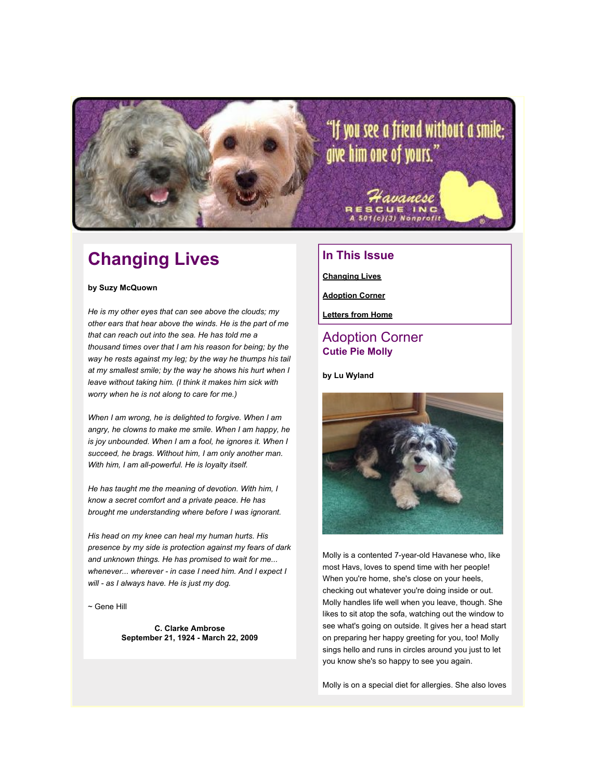

## **Changing Lives**

#### **by Suzy McQuown**

*He is my other eyes that can see above the clouds; my other ears that hear above the winds. He is the part of me that can reach out into the sea. He has told me a thousand times over that I am his reason for being; by the way he rests against my leg; by the way he thumps his tail at my smallest smile; by the way he shows his hurt when I leave without taking him. (I think it makes him sick with worry when he is not along to care for me.)*

*When I am wrong, he is delighted to forgive. When I am angry, he clowns to make me smile. When I am happy, he is joy unbounded. When I am a fool, he ignores it. When I succeed, he brags. Without him, I am only another man. With him, I am all-powerful. He is loyalty itself.*

*He has taught me the meaning of devotion. With him, I know a secret comfort and a private peace. He has brought me understanding where before I was ignorant.*

*His head on my knee can heal my human hurts. His presence by my side is protection against my fears of dark and unknown things. He has promised to wait for me... whenever... wherever - in case I need him. And I expect I will - as I always have. He is just my dog.*

 $\sim$  Gene Hill

**C. Clarke Ambrose September 21, 1924 - March 22, 2009**

## **In This Issue**

**[Changing Lives](http://mail.google.com/mail/?ui=2&view=bsp&ver=1qygpcgurkovy#120cc02492dd4150_LETTER.BLOCK18)**

**[Adoption Corner](http://mail.google.com/mail/?ui=2&view=bsp&ver=1qygpcgurkovy#120cc02492dd4150_LETTER.BLOCK9)**

**[Letters from Home](http://mail.google.com/mail/?ui=2&view=bsp&ver=1qygpcgurkovy#120cc02492dd4150_LETTER.BLOCK5)**

### Adoption Corner **Cutie Pie Molly**

**by Lu Wyland**



Molly is a contented 7-year-old Havanese who, like most Havs, loves to spend time with her people! When you're home, she's close on your heels, checking out whatever you're doing inside or out. Molly handles life well when you leave, though. She likes to sit atop the sofa, watching out the window to see what's going on outside. It gives her a head start on preparing her happy greeting for you, too! Molly sings hello and runs in circles around you just to let you know she's so happy to see you again.

Molly is on a special diet for allergies. She also loves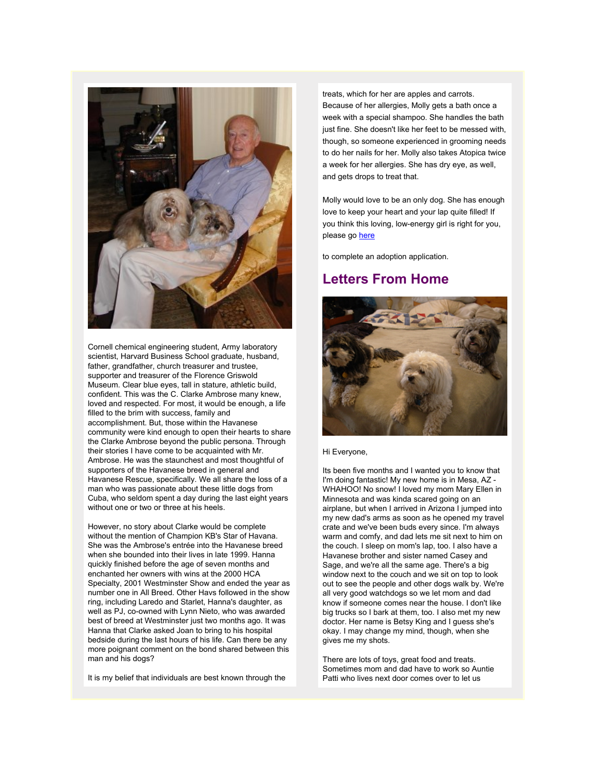

Cornell chemical engineering student, Army laboratory scientist, Harvard Business School graduate, husband, father, grandfather, church treasurer and trustee, supporter and treasurer of the Florence Griswold Museum. Clear blue eyes, tall in stature, athletic build, confident. This was the C. Clarke Ambrose many knew, loved and respected. For most, it would be enough, a life filled to the brim with success, family and accomplishment. But, those within the Havanese community were kind enough to open their hearts to share the Clarke Ambrose beyond the public persona. Through their stories I have come to be acquainted with Mr. Ambrose. He was the staunchest and most thoughtful of supporters of the Havanese breed in general and Havanese Rescue, specifically. We all share the loss of a man who was passionate about these little dogs from Cuba, who seldom spent a day during the last eight years without one or two or three at his heels.

However, no story about Clarke would be complete without the mention of Champion KB's Star of Havana. She was the Ambrose's entrée into the Havanese breed when she bounded into their lives in late 1999. Hanna quickly finished before the age of seven months and enchanted her owners with wins at the 2000 HCA Specialty, 2001 Westminster Show and ended the year as number one in All Breed. Other Havs followed in the show ring, including Laredo and Starlet, Hanna's daughter, as well as PJ, co-owned with Lynn Nieto, who was awarded best of breed at Westminster just two months ago. It was Hanna that Clarke asked Joan to bring to his hospital bedside during the last hours of his life. Can there be any more poignant comment on the bond shared between this man and his dogs?

It is my belief that individuals are best known through the

treats, which for her are apples and carrots. Because of her allergies, Molly gets a bath once a week with a special shampoo. She handles the bath just fine. She doesn't like her feet to be messed with, though, so someone experienced in grooming needs to do her nails for her. Molly also takes Atopica twice a week for her allergies. She has dry eye, as well, and gets drops to treat that.

Molly would love to be an only dog. She has enough love to keep your heart and your lap quite filled! If you think this loving, low-energy girl is right for you, please go [here](http://rs6.net/tn.jsp?et=1102554972990&s=2126&e=0018CrA0ReavjiE3WKo7XSUn8PvttPHW6oymAlKTA3iy27FVubM6LRrAfkvAVQ36GuCKF5Gfl2my99iTBW4M68kLz5SWNgc-k_HqZfirgo6furUBGA8RSsD2z8PlOkoVvY_qy5i3E54rhs=)

to complete an adoption application.

## **Letters From Home**



### Hi Everyone,

Its been five months and I wanted you to know that I'm doing fantastic! My new home is in Mesa, AZ - WHAHOO! No snow! I loved my mom Mary Ellen in Minnesota and was kinda scared going on an airplane, but when I arrived in Arizona I jumped into my new dad's arms as soon as he opened my travel crate and we've been buds every since. I'm always warm and comfy, and dad lets me sit next to him on the couch. I sleep on mom's lap, too. I also have a Havanese brother and sister named Casey and Sage, and we're all the same age. There's a big window next to the couch and we sit on top to look out to see the people and other dogs walk by. We're all very good watchdogs so we let mom and dad know if someone comes near the house. I don't like big trucks so I bark at them, too. I also met my new doctor. Her name is Betsy King and I guess she's okay. I may change my mind, though, when she gives me my shots.

There are lots of toys, great food and treats. Sometimes mom and dad have to work so Auntie Patti who lives next door comes over to let us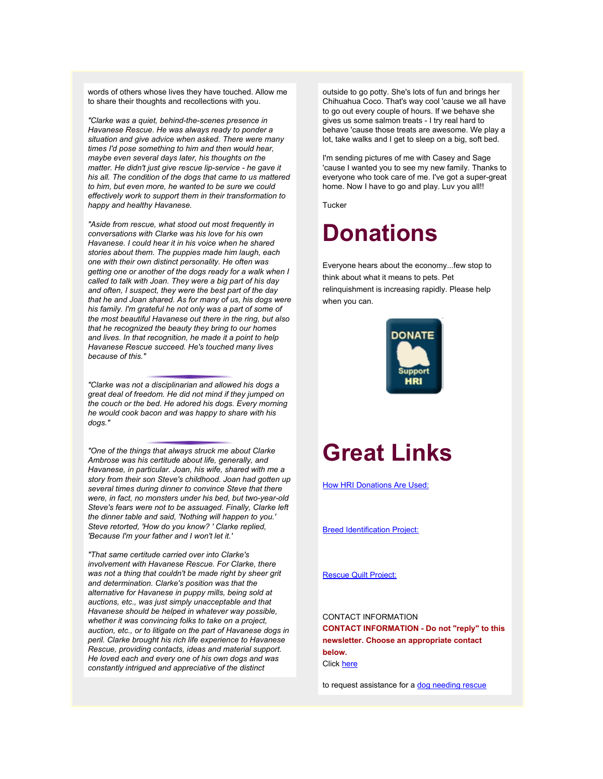words of others whose lives they have touched. Allow me to share their thoughts and recollections with you.

*"Clarke was a quiet, behind-the-scenes presence in Havanese Rescue. He was always ready to ponder a situation and give advice when asked. There were many times I'd pose something to him and then would hear, maybe even several days later, his thoughts on the matter. He didn't just give rescue lip-service - he gave it his all. The condition of the dogs that came to us mattered to him, but even more, he wanted to be sure we could effectively work to support them in their transformation to happy and healthy Havanese.*

*"Aside from rescue, what stood out most frequently in conversations with Clarke was his love for his own Havanese. I could hear it in his voice when he shared stories about them. The puppies made him laugh, each one with their own distinct personality. He often was getting one or another of the dogs ready for a walk when I called to talk with Joan. They were a big part of his day and often, I suspect, they were the best part of the day that he and Joan shared. As for many of us, his dogs were his family. I'm grateful he not only was a part of some of the most beautiful Havanese out there in the ring, but also that he recognized the beauty they bring to our homes and lives. In that recognition, he made it a point to help Havanese Rescue succeed. He's touched many lives because of this."*

*"Clarke was not a disciplinarian and allowed his dogs a great deal of freedom. He did not mind if they jumped on the couch or the bed. He adored his dogs. Every morning he would cook bacon and was happy to share with his dogs."*

*"One of the things that always struck me about Clarke Ambrose was his certitude about life, generally, and Havanese, in particular. Joan, his wife, shared with me a story from their son Steve's childhood. Joan had gotten up several times during dinner to convince Steve that there were, in fact, no monsters under his bed, but two-year-old Steve's fears were not to be assuaged. Finally, Clarke left the dinner table and said, 'Nothing will happen to you.' Steve retorted, 'How do you know? ' Clarke replied, 'Because I'm your father and I won't let it.'*

*"That same certitude carried over into Clarke's involvement with Havanese Rescue. For Clarke, there was not a thing that couldn't be made right by sheer grit and determination. Clarke's position was that the alternative for Havanese in puppy mills, being sold at auctions, etc., was just simply unacceptable and that Havanese should be helped in whatever way possible, whether it was convincing folks to take on a project, auction, etc., or to litigate on the part of Havanese dogs in peril. Clarke brought his rich life experience to Havanese Rescue, providing contacts, ideas and material support. He loved each and every one of his own dogs and was constantly intrigued and appreciative of the distinct*

outside to go potty. She's lots of fun and brings her Chihuahua Coco. That's way cool 'cause we all have to go out every couple of hours. If we behave she gives us some salmon treats - I try real hard to behave 'cause those treats are awesome. We play a lot, take walks and I get to sleep on a big, soft bed.

I'm sending pictures of me with Casey and Sage 'cause I wanted you to see my new family. Thanks to everyone who took care of me. I've got a super-great home. Now I have to go and play. Luv you all!!

**Tucker** 

## **Donations**

Everyone hears about the economy...few stop to think about what it means to pets. Pet relinquishment is increasing rapidly. Please help when you can.



# **Great Links**

[How HRI Donations Are Used:](http://rs6.net/tn.jsp?et=1102554972990&s=2126&e=0018CrA0ReavjjFHyKPQHBv-WY74Lf9vKhZqSSSQhR0gUUSbbuhvlUZEu6r1ramU8j9XO9wssTOQcavtmFob3M5_wh0Z844hMFXXkPiwbeBG_3ZaM056QYDC2XLcd2GfCQ9gWe8lrA5_dtF3cWiwIe36ZlrubpoMIy02wNPtyuTre6-9dGQO5cTN0xMgp_2EfbIoGvOc2T_1zAI6bKf8ghec9vMKx-RQy1fNWjGIR6xJy5CV0kjCnpUt7eTXC0H473IIWA9s15Q7ONnyKwVbu2T8PzkKbBPsHudhcDjH24-j3aUYXWwNi3UEw==)

[Breed Identification Project:](http://rs6.net/tn.jsp?et=1102554972990&s=2126&e=0018CrA0ReavjijE5_eraCnP5KtHd_CSh85ZSEiWYJZX80uGSB0oyxtsPVa7HrmRyvVuWPPCH82f5YxhjwzT8WMF53PB49eECqTTUhRYfWY0cwfIq6QwuE5knppgjwpe9b44W7OYISutaldYGuHWBGbVpG4TQytGwwbtNg2IncFPFJL6LMxmYTIURPxBH1KvzbWhxKH6FhkkwSo14xPdeD7s_SlTAQpijdijbHcjWyNdrCKRlIWc-CXnro3poMjTi0gjGRy6wzbySO8FfXRrSXa8g==)

[Rescue Quilt Project:](http://rs6.net/tn.jsp?et=1102554972990&s=2126&e=0018CrA0ReavjiYhTPQ4lefNLsNnG12YVGbHQd3dIF8sPPsP2xhhIRSsomHvhVDODMNtl5SgvZOWH3HPXTHRUaTZegrHnVzeBYVEk-43DGmgXplUR_Z1aG1sosAgKQi3efqR9fMUNnFlKdEEl9pj74IHLJvio5pLiKzgw5hFJIIMYXhwlbspF5_ZFr0mj7OGOv0bXw4cS7A4ut5PUQ6B046AwtpfdMLWKVb)

CONTACT INFORMATION **CONTACT INFORMATION - Do not "reply" to this newsletter. Choose an appropriate contact below.** Click [here](http://rs6.net/tn.jsp?et=1102554972990&s=2126&e=0018CrA0Reavjgji6KKBl3TULorJ0qrBpNwSOaSQhsr5uvRyC43acpLOE-Eua9Y98lg_z0zCGRXrNLkDbnQ9KYsnsCY592zXF4PnwfbiElf6PQKukqFR5JonHsvbmkU6f82dGYb9rKFPsI=)

to request assistance for a [dog needing rescue](http://rs6.net/tn.jsp?et=1102554972990&s=2126&e=0018CrA0Reavjgji6KKBl3TULorJ0qrBpNwSOaSQhsr5uvRyC43acpLOE-Eua9Y98lg_z0zCGRXrNLkDbnQ9KYsnsCY592zXF4PnwfbiElf6PQKukqFR5JonHsvbmkU6f82dGYb9rKFPsI=)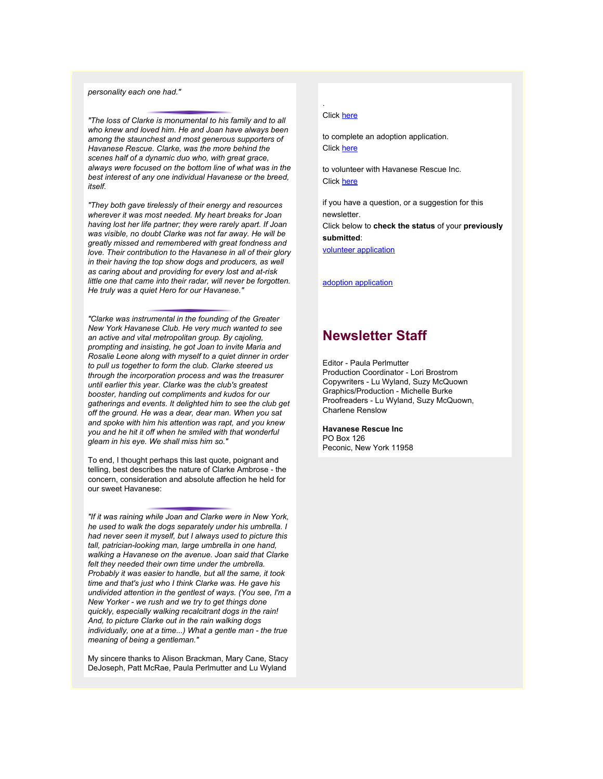### *personality each one had."*

*"The loss of Clarke is monumental to his family and to all who knew and loved him. He and Joan have always been among the staunchest and most generous supporters of Havanese Rescue. Clarke, was the more behind the scenes half of a dynamic duo who, with great grace, always were focused on the bottom line of what was in the best interest of any one individual Havanese or the breed, itself.*

*"They both gave tirelessly of their energy and resources wherever it was most needed. My heart breaks for Joan having lost her life partner; they were rarely apart. If Joan was visible, no doubt Clarke was not far away. He will be greatly missed and remembered with great fondness and love. Their contribution to the Havanese in all of their glory in their having the top show dogs and producers, as well as caring about and providing for every lost and at-risk little one that came into their radar, will never be forgotten. He truly was a quiet Hero for our Havanese."*

*"Clarke was instrumental in the founding of the Greater New York Havanese Club. He very much wanted to see an active and vital metropolitan group. By cajoling, prompting and insisting, he got Joan to invite Maria and Rosalie Leone along with myself to a quiet dinner in order to pull us together to form the club. Clarke steered us through the incorporation process and was the treasurer until earlier this year. Clarke was the club's greatest booster, handing out compliments and kudos for our gatherings and events. It delighted him to see the club get off the ground. He was a dear, dear man. When you sat and spoke with him his attention was rapt, and you knew you and he hit it off when he smiled with that wonderful gleam in his eye. We shall miss him so."*

To end, I thought perhaps this last quote, poignant and telling, best describes the nature of Clarke Ambrose - the concern, consideration and absolute affection he held for our sweet Havanese:

*"If it was raining while Joan and Clarke were in New York, he used to walk the dogs separately under his umbrella. I had never seen it myself, but I always used to picture this tall, patrician-looking man, large umbrella in one hand, walking a Havanese on the avenue. Joan said that Clarke felt they needed their own time under the umbrella. Probably it was easier to handle, but all the same, it took time and that's just who I think Clarke was. He gave his undivided attention in the gentlest of ways. (You see, I'm a New Yorker - we rush and we try to get things done quickly, especially walking recalcitrant dogs in the rain! And, to picture Clarke out in the rain walking dogs individually, one at a time...) What a gentle man - the true meaning of being a gentleman."*

My sincere thanks to Alison Brackman, Mary Cane, Stacy DeJoseph, Patt McRae, Paula Perlmutter and Lu Wyland

#### Click [here](http://rs6.net/tn.jsp?et=1102554972990&s=2126&e=0018CrA0ReavjiE3WKo7XSUn8PvttPHW6oymAlKTA3iy27FVubM6LRrAfkvAVQ36GuCKF5Gfl2my99iTBW4M68kLz5SWNgc-k_HqZfirgo6furUBGA8RSsD2z8PlOkoVvY_qy5i3E54rhs=)

.

to complete an adoption application. Click [here](http://rs6.net/tn.jsp?et=1102554972990&s=2126&e=0018CrA0ReavjitwSR0aUwjFs7kqn9jOKRi04n8kBhs8Fycttp2AdAb08_wqiZMjihJh4VmdCK3t4tGyvdVcSe4IWuauCewwWtpRXn_Dr4hpBjDTr-IKv6v841kVtJXPfAXX1Tle0II-6oYHJlgxA-bZTKB6hVlYboLl01R6gh9q0QQD0UiRBJ8pOptIxbA4fIU)

to volunteer with Havanese Rescue Inc. Click [here](http://rs6.net/tn.jsp?et=1102554972990&s=2126&e=0018CrA0ReavjjkzajNGp3JDjZcdGvsY3lqJDGvFVzB4Z62yHJLzlRF-MVzEsZ-Y7R0Z4deZrsnQtea0yA8I67ZfQI11vxPak5maOin_B3MtFKu2QhMt7UHAnn2UxN-l4m_ZM7bJQuWgS-xOaY8kFU27vlRfEicf2JHz-9vyEHIKTOurEmBrDpTjLDVlxpSU7eiVXiJVEamMLEixn7CbCS1kiAzzNkEfCNv)

if you have a question, or a suggestion for this newsletter.

Click below to **check the status** of your **previously submitted**:

[volunteer application](http://rs6.net/tn.jsp?et=1102554972990&s=2126&e=0018CrA0ReavjgAcoSG66Jlw7MORSQeo1C_UEJdZ_DYhgoANnI2e-8WiG2BLaE9t8phIECjZSTY8Mk2MZmxcQXDXuY0qT06DLCALHHVP93AALEYDb9z-gfpyp8jMq3ZiOWLeHsOyQTYEC0oOarZa-w-60BlK-hIrbj-K4QJVMkvgNC0MPvCeE742O9P2Fx7gcXQMrLdB9UAkrVmtps9b2TCFl9Oej6DOrJQbH669y_Rqp2-_5fCiONYVQSTSmd3WyPuDPGGen0pj3AFjkwg-o8Kkvv8pGVjHpI9W3nTZbXPHOZT77bGay9OeQ==)

[adoption application](http://rs6.net/tn.jsp?et=1102554972990&s=2126&e=0018CrA0ReavjhNh6N7Kt5kLqZT_JuuwhUivwUMyr4LeT6k5woaefrchL7jlrmDo4rY6cY3bpFMSl1UJxFjn9gOFp0M8CqcnIYJC3BLkVGaajE8qCa4N1k_sgTVZj2UY1TOlUsDbw0k34Q=)

## **Newsletter Staff**

Editor - Paula Perlmutter Production Coordinator - Lori Brostrom Copywriters - Lu Wyland, Suzy McQuown Graphics/Production - Michelle Burke Proofreaders - Lu Wyland, Suzy McQuown, Charlene Renslow

### **Havanese Rescue Inc**

PO Box 126 Peconic, New York 11958